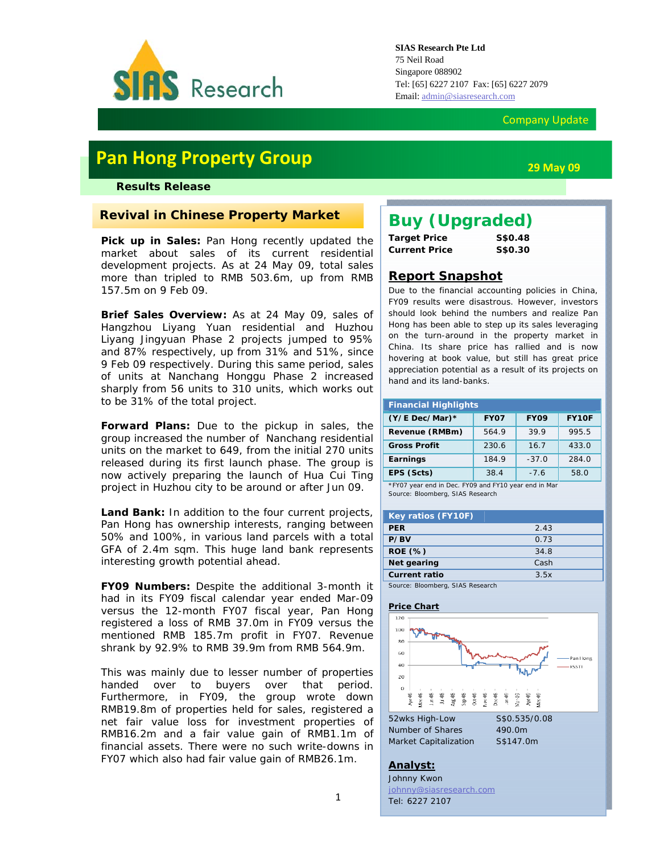

### Company Update

# **Pan Hong Property Group**

### *Results Release*

# **Revival in Chinese Property Market**

Pick up in Sales: Pan Hong recently updated the market about sales of its current residential development projects. As at 24 May 09, total sales more than tripled to RMB 503.6m, up from RMB 157.5m on 9 Feb 09.

**Brief Sales Overview:** As at 24 May 09, sales of Hangzhou Liyang Yuan residential and Huzhou Liyang Jingyuan Phase 2 projects jumped to 95% and 87% respectively, up from 31% and 51%, since 9 Feb 09 respectively. During this same period, sales of units at Nanchang Honggu Phase 2 increased sharply from 56 units to 310 units, which works out to be 31% of the total project.

**Forward Plans:** Due to the pickup in sales, the group increased the number of Nanchang residential units on the market to 649, from the initial 270 units released during its first launch phase. The group is now actively preparing the launch of Hua Cui Ting project in Huzhou city to be around or after Jun 09.

Land Bank: In addition to the four current projects, Pan Hong has ownership interests, ranging between 50% and 100%, in various land parcels with a total GFA of 2.4m sqm. This huge land bank represents interesting growth potential ahead.

**FY09 Numbers:** Despite the additional 3-month it had in its FY09 fiscal calendar year ended Mar-09 versus the 12-month FY07 fiscal year, Pan Hong registered a loss of RMB 37.0m in FY09 versus the mentioned RMB 185.7m profit in FY07. Revenue shrank by 92.9% to RMB 39.9m from RMB 564.9m.

This was mainly due to lesser number of properties handed over to buyers over that period. Furthermore, in FY09, the group wrote down RMB19.8m of properties held for sales, registered a net fair value loss for investment properties of RMB16.2m and a fair value gain of RMB1.1m of financial assets. There were no such write-downs in FY07 which also had fair value gain of RMB26.1m.

# *Buy (Upgraded)*

| <b>Target Price</b>  | S\$0.48 |
|----------------------|---------|
| <b>Current Price</b> | S\$0.30 |

### **Report Snapshot**

Due to the financial accounting policies in China, FY09 results were disastrous. However, investors should look behind the numbers and realize Pan Hong has been able to step up its sales leveraging on the turn-around in the property market in China. Its share price has rallied and is now hovering at book value, but still has great price appreciation potential as a result of its projects on hand and its land-banks.

| <b>Financial Highlights</b> |             |             |       |  |  |  |
|-----------------------------|-------------|-------------|-------|--|--|--|
| $(Y/E$ Dec/Mar)*            | <b>FY07</b> | <b>FY09</b> | FY10F |  |  |  |
| Revenue (RMBm)              | 564.9       | 39.9        | 995.5 |  |  |  |
| <b>Gross Profit</b>         | 230.6       | 16.7        | 433.0 |  |  |  |
| Earnings                    | 184.9       | $-37.0$     | 284.0 |  |  |  |
| EPS (Scts)                  | 38.4        | $-7.6$      | 58.0  |  |  |  |

\*FY07 year end in Dec. FY09 and FY10 year end in Mar Source: Bloomberg, SIAS Research

| <b>Key ratios (FY10F)</b>        |      |
|----------------------------------|------|
| <b>PER</b>                       | 2.43 |
| P/BV                             | 0.73 |
| <b>ROE</b> (%)                   | 34.8 |
| Net gearing                      | Cash |
| <b>Current ratio</b>             | 3.5x |
| Source: Bloomberg, SIAS Research |      |

#### **Price Chart**



#### **Analyst:**

Johnny Kwon johnny@siasresearch.com Tel: 6227 2107

*Market Capitalization S\$147.0m* 

**29 May 09**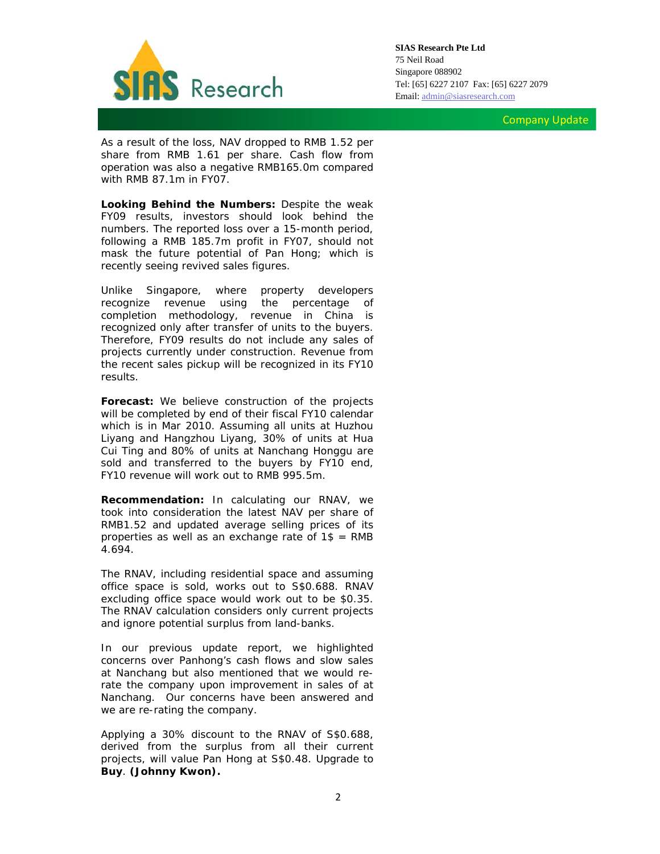

**SIAS Research Pte Ltd**  75 Neil Road Singapore 088902 Tel: [65] 6227 2107 Fax: [65] 6227 2079 Email: admin@siasresearch.com

Company Update

As a result of the loss, NAV dropped to RMB 1.52 per share from RMB 1.61 per share. Cash flow from operation was also a negative RMB165.0m compared with RMB 87.1m in FY07.

**Looking Behind the Numbers:** Despite the weak FY09 results, investors should look behind the numbers. The reported loss over a 15-month period, following a RMB 185.7m profit in FY07, should not mask the future potential of Pan Hong; which is recently seeing revived sales figures.

Unlike Singapore, where property developers recognize revenue using the percentage of completion methodology, revenue in China is recognized only after transfer of units to the buyers. Therefore, FY09 results do not include any sales of projects currently under construction. Revenue from the recent sales pickup will be recognized in its FY10 results.

**Forecast:** We believe construction of the projects will be completed by end of their fiscal FY10 calendar which is in Mar 2010. Assuming all units at Huzhou Liyang and Hangzhou Liyang, 30% of units at Hua Cui Ting and 80% of units at Nanchang Honggu are sold and transferred to the buyers by FY10 end, FY10 revenue will work out to RMB 995.5m.

**Recommendation:** In calculating our RNAV, we took into consideration the latest NAV per share of RMB1.52 and updated average selling prices of its properties as well as an exchange rate of 1\$ = RMB 4.694.

The RNAV, including residential space and assuming office space is sold, works out to S\$0.688. RNAV excluding office space would work out to be \$0.35. The RNAV calculation considers only current projects and ignore potential surplus from land-banks.

In our previous update report, we highlighted concerns over Panhong's cash flows and slow sales at Nanchang but also mentioned that we would rerate the company upon improvement in sales of at Nanchang. Our concerns have been answered and we are re-rating the company.

Applying a 30% discount to the RNAV of S\$0.688, derived from the surplus from all their current projects, will value Pan Hong at S\$0.48. Upgrade to **Buy**. **(Johnny Kwon).**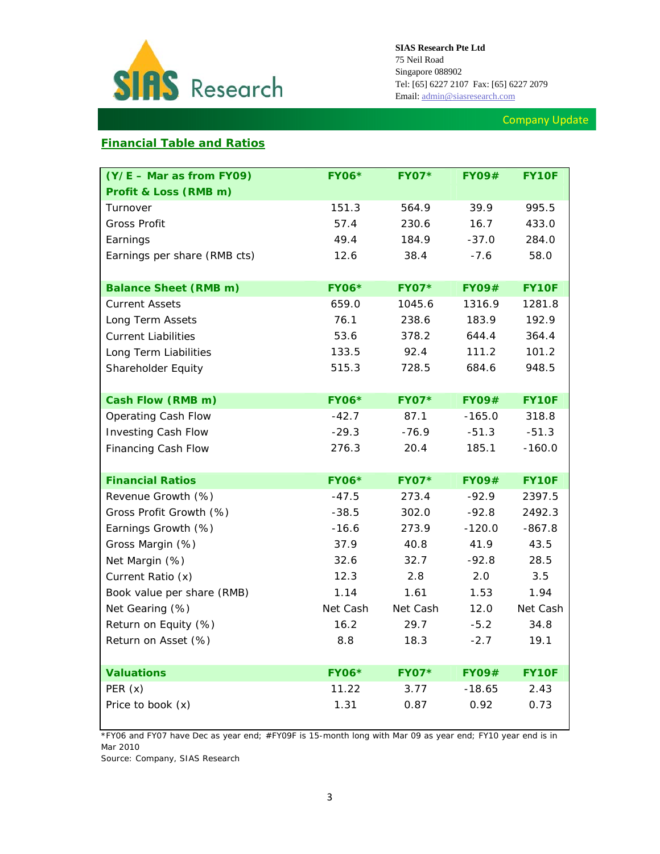

# Company Update

# **Financial Table and Ratios**

| $(Y/E - Mar as from FY09)$   | <b>FY06*</b> | <b>FY07*</b> | <b>FY09#</b> | FY10F        |
|------------------------------|--------------|--------------|--------------|--------------|
| Profit & Loss (RMB m)        |              |              |              |              |
| Turnover                     | 151.3        | 564.9        | 39.9         | 995.5        |
| <b>Gross Profit</b>          | 57.4         | 230.6        | 16.7         | 433.0        |
| Earnings                     | 49.4         | 184.9        | $-37.0$      | 284.0        |
| Earnings per share (RMB cts) | 12.6         | 38.4         | $-7.6$       | 58.0         |
|                              |              |              |              |              |
| <b>Balance Sheet (RMB m)</b> | <b>FY06*</b> | <b>FY07*</b> | <b>FY09#</b> | <b>FY10F</b> |
| <b>Current Assets</b>        | 659.0        | 1045.6       | 1316.9       | 1281.8       |
| Long Term Assets             | 76.1         | 238.6        | 183.9        | 192.9        |
| <b>Current Liabilities</b>   | 53.6         | 378.2        | 644.4        | 364.4        |
| Long Term Liabilities        | 133.5        | 92.4         | 111.2        | 101.2        |
| Shareholder Equity           | 515.3        | 728.5        | 684.6        | 948.5        |
|                              |              |              |              |              |
| Cash Flow (RMB m)            | <b>FY06*</b> | <b>FY07*</b> | <b>FY09#</b> | <b>FY10F</b> |
| Operating Cash Flow          | $-42.7$      | 87.1         | $-165.0$     | 318.8        |
| <b>Investing Cash Flow</b>   | $-29.3$      | $-76.9$      | $-51.3$      | $-51.3$      |
| Financing Cash Flow          | 276.3        | 20.4         | 185.1        | $-160.0$     |
|                              |              |              |              |              |
| <b>Financial Ratios</b>      | <b>FY06*</b> | <b>FY07*</b> | <b>FY09#</b> | FY10F        |
| Revenue Growth (%)           | $-47.5$      | 273.4        | $-92.9$      | 2397.5       |
| Gross Profit Growth (%)      | $-38.5$      | 302.0        | $-92.8$      | 2492.3       |
| Earnings Growth (%)          | $-16.6$      | 273.9        | $-120.0$     | $-867.8$     |
| Gross Margin (%)             | 37.9         | 40.8         | 41.9         | 43.5         |
| Net Margin (%)               | 32.6         | 32.7         | $-92.8$      | 28.5         |
| Current Ratio (x)            | 12.3         | 2.8          | 2.0          | 3.5          |
| Book value per share (RMB)   | 1.14         | 1.61         | 1.53         | 1.94         |
| Net Gearing (%)              | Net Cash     | Net Cash     | 12.0         | Net Cash     |
| Return on Equity (%)         | 16.2         | 29.7         | $-5.2$       | 34.8         |
| Return on Asset (%)          | 8.8          | 18.3         | $-2.7$       | 19.1         |
|                              |              |              |              |              |
| <b>Valuations</b>            | <b>FY06*</b> | <b>FY07*</b> | <b>FY09#</b> | FY10F        |
| PER(x)                       | 11.22        | 3.77         | $-18.65$     | 2.43         |
| Price to book (x)            | 1.31         | 0.87         | 0.92         | 0.73         |

*\*FY06 and FY07 have Dec as year end; #FY09F is 15-month long with Mar 09 as year end; FY10 year end is in Mar 2010* 

*Source: Company, SIAS Research*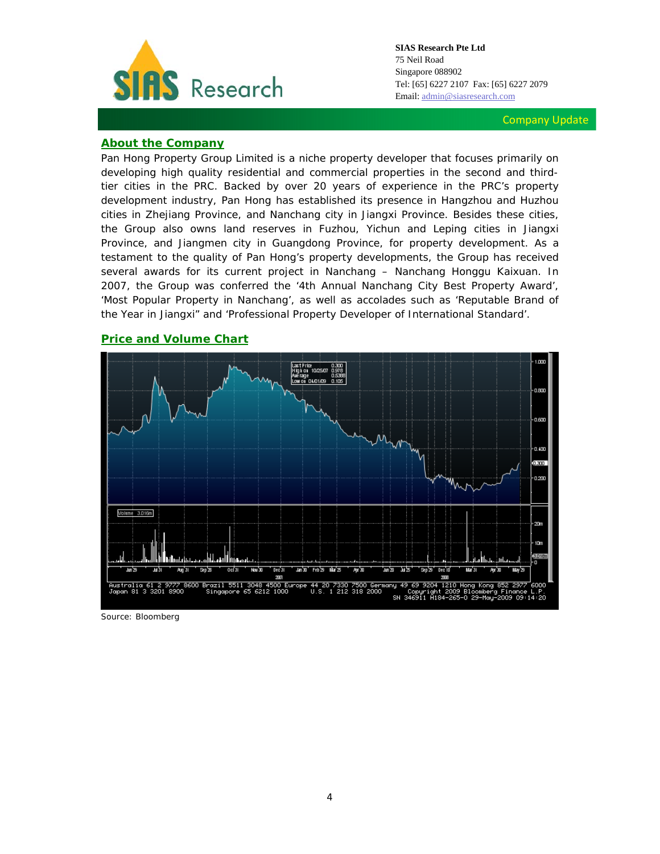

Company Update

# **About the Company**

Pan Hong Property Group Limited is a niche property developer that focuses primarily on developing high quality residential and commercial properties in the second and thirdtier cities in the PRC. Backed by over 20 years of experience in the PRC's property development industry, Pan Hong has established its presence in Hangzhou and Huzhou cities in Zhejiang Province, and Nanchang city in Jiangxi Province. Besides these cities, the Group also owns land reserves in Fuzhou, Yichun and Leping cities in Jiangxi Province, and Jiangmen city in Guangdong Province, for property development. As a testament to the quality of Pan Hong's property developments, the Group has received several awards for its current project in Nanchang – Nanchang Honggu Kaixuan. In 2007, the Group was conferred the '4th Annual Nanchang City Best Property Award', 'Most Popular Property in Nanchang', as well as accolades such as 'Reputable Brand of the Year in Jiangxi" and 'Professional Property Developer of International Standard'.

# **Price and Volume Chart**



*Source: Bloomberg*